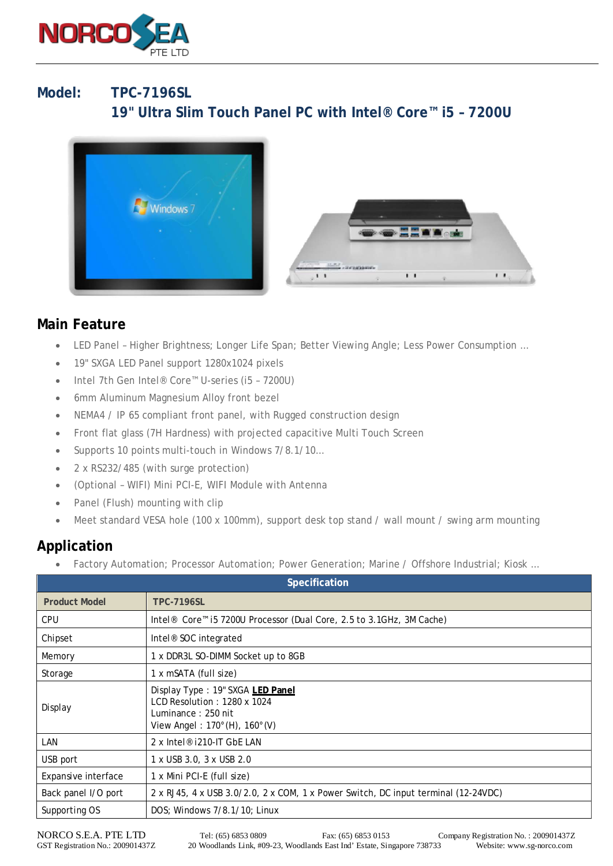

## **Model: TPC-7196SL 19" Ultra Slim Touch Panel PC with Intel® Core™ i5 – 7200U**



## **Main Feature**

- LED Panel Higher Brightness; Longer Life Span; Better Viewing Angle; Less Power Consumption …
- 19" SXGA LED Panel support 1280x1024 pixels
- Intel 7th Gen Intel® Core™ U-series (i5 7200U)
- 6mm Aluminum Magnesium Alloy front bezel
- NEMA4 / IP 65 compliant front panel, with Rugged construction design
- Front flat glass (7H Hardness) with projected capacitive Multi Touch Screen
- Supports 10 points multi-touch in Windows 7/8.1/10...
- 2 x RS232/485 (with surge protection)
- (Optional WIFI) Mini PCI-E, WIFI Module with Antenna
- Panel (Flush) mounting with clip
- Meet standard VESA hole (100 x 100mm), support desk top stand / wall mount / swing arm mounting

## **Application**

Factory Automation; Processor Automation; Power Generation; Marine / Offshore Industrial; Kiosk ...

| Specification        |                                                                                                                                             |
|----------------------|---------------------------------------------------------------------------------------------------------------------------------------------|
| <b>Product Model</b> | <b>TPC-7196SL</b>                                                                                                                           |
| <b>CPU</b>           | Intel <sup>®</sup> Core <sup>™</sup> i5 7200U Processor (Dual Core, 2.5 to 3.1GHz, 3M Cache)                                                |
| Chipset              | Intel <sup>®</sup> SOC integrated                                                                                                           |
| Memory               | 1 x DDR3L SO-DIMM Socket up to 8GB                                                                                                          |
| Storage              | 1 x mSATA (full size)                                                                                                                       |
| Display              | Display Type: 19" SXGA LED Panel<br>$LCD$ Resolution: 1280 x 1024<br>Luminance: 250 nit<br>View Angel: $170^{\circ}$ (H), $160^{\circ}$ (V) |
| LAN                  | 2 x Intel <sup>®</sup> i210-IT GbE LAN                                                                                                      |
| USB port             | 1 x USB 3.0, 3 x USB 2.0                                                                                                                    |
| Expansive interface  | 1 x Mini PCI-E (full size)                                                                                                                  |
| Back panel I/O port  | 2 x RJ45, 4 x USB 3.0/2.0, 2 x COM, 1 x Power Switch, DC input terminal (12-24VDC)                                                          |
| Supporting OS        | DOS; Windows 7/8.1/10; Linux                                                                                                                |